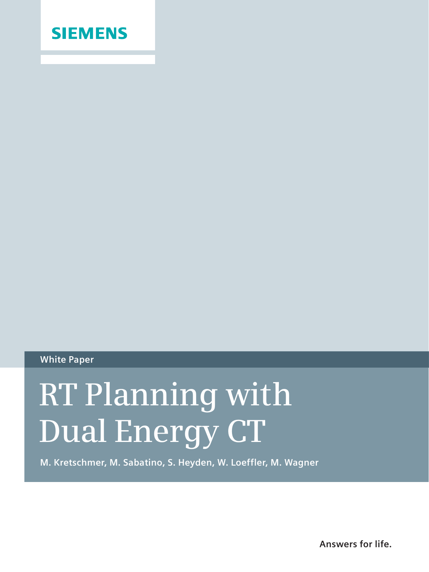

### **White Paper**

# **RT Planning with Dual Energy CT**

**M. Kretschmer, M. Sabatino, S. Heyden, W. Loeffler, M. Wagner**

**Answers for life.**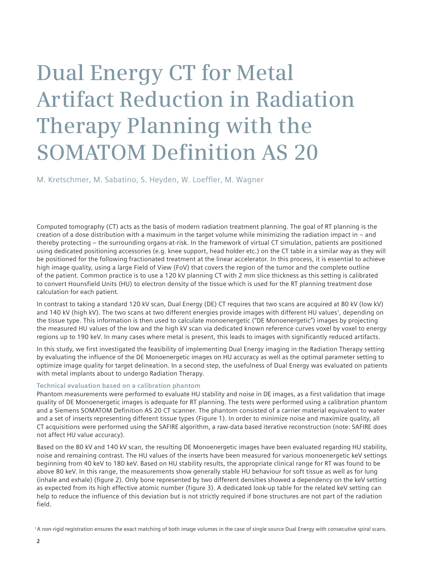## **Dual Energy CT for Metal Artifact Reduction in Radiation Therapy Planning with the SOMATOM Definition AS 20**

M. Kretschmer, M. Sabatino, S. Heyden, W. Loeffler, M. Wagner

Computed tomography (CT) acts as the basis of modern radiation treatment planning. The goal of RT planning is the creation of a dose distribution with a maximum in the target volume while minimizing the radiation impact in – and thereby protecting – the surrounding organs-at-risk. In the framework of virtual CT simulation, patients are positioned using dedicated positioning accessories (e.g. knee support, head holder etc.) on the CT table in a similar way as they will be positioned for the following fractionated treatment at the linear accelerator. In this process, it is essential to achieve high image quality, using a large Field of View (FoV) that covers the region of the tumor and the complete outline of the patient. Common practice is to use a 120 kV planning CT with 2 mm slice thickness as this setting is calibrated to convert Hounsfield Units (HU) to electron density of the tissue which is used for the RT planning treatment dose calculation for each patient.

In contrast to taking a standard 120 kV scan, Dual Energy (DE) CT requires that two scans are acquired at 80 kV (low kV) and 140 kV (high kV). The two scans at two different energies provide images with different HU values1, depending on the tissue type. This information is then used to calculate monoenergetic ("DE Monoenergetic") images by projecting the measured HU values of the low and the high kV scan via dedicated known reference curves voxel by voxel to energy regions up to 190 keV. In many cases where metal is present, this leads to images with significantly reduced artifacts.

In this study, we first investigated the feasibility of implementing Dual Energy imaging in the Radiation Therapy setting by evaluating the influence of the DE Monoenergetic images on HU accuracy as well as the optimal parameter setting to optimize image quality for target delineation. In a second step, the usefulness of Dual Energy was evaluated on patients with metal implants about to undergo Radiation Therapy.

#### **Technical evaluation based on a calibration phantom**

Phantom measurements were performed to evaluate HU stability and noise in DE images, as a first validation that image quality of DE Monoenergetic images is adequate for RT planning. The tests were performed using a calibration phantom and a Siemens SOMATOM Definition AS 20 CT scanner. The phantom consisted of a carrier material equivalent to water and a set of inserts representing different tissue types (Figure 1). In order to minimize noise and maximize quality, all CT acquisitions were performed using the SAFIRE algorithm, a raw-data based iterative reconstruction (note: SAFIRE does not affect HU value accuracy).

Based on the 80 kV and 140 kV scan, the resulting DE Monoenergetic images have been evaluated regarding HU stability, noise and remaining contrast. The HU values of the inserts have been measured for various monoenergetic keV settings beginning from 40 keV to 180 keV. Based on HU stability results, the appropriate clinical range for RT was found to be above 80 keV. In this range, the measurements show generally stable HU behaviour for soft tissue as well as for lung (inhale and exhale) (figure 2). Only bone represented by two different densities showed a dependency on the keV setting as expected from its high effective atomic number (figure 3). A dedicated look-up table for the related keV setting can help to reduce the influence of this deviation but is not strictly required if bone structures are not part of the radiation field.

1 A non-rigid registration ensures the exact matching of both image volumes in the case of single source Dual Energy with consecutive spiral scans.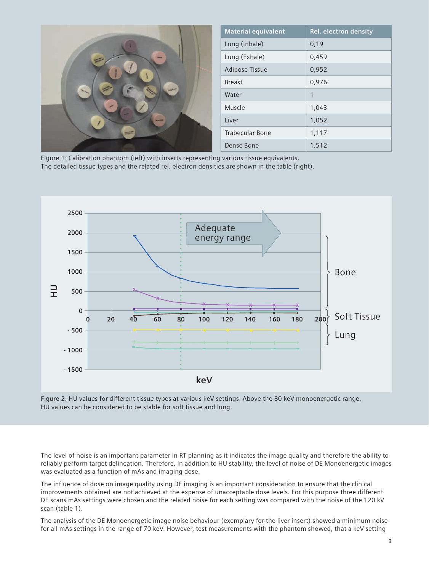|                                                                                                   | <b>Material equivalent</b> | Rel. electron density |
|---------------------------------------------------------------------------------------------------|----------------------------|-----------------------|
| <b>Hairs</b><br>$\frac{1}{2}$ and $\frac{1}{2}$ and $\frac{1}{2}$<br><b>SHARR</b><br><b>SHOW:</b> | Lung (Inhale)              | 0,19                  |
|                                                                                                   | Lung (Exhale)              | 0,459                 |
|                                                                                                   | <b>Adipose Tissue</b>      | 0,952                 |
|                                                                                                   | <b>Breast</b>              | 0,976                 |
|                                                                                                   | Water                      |                       |
|                                                                                                   | Muscle                     | 1,043                 |
|                                                                                                   | Liver                      | 1,052                 |
|                                                                                                   | <b>Trabecular Bone</b>     | 1,117                 |
|                                                                                                   | Dense Bone                 | 1,512                 |

Figure 1: Calibration phantom (left) with inserts representing various tissue equivalents. The detailed tissue types and the related rel. electron densities are shown in the table (right).



Figure 2: HU values for different tissue types at various keV settings. Above the 80 keV monoenergetic range, HU values can be considered to be stable for soft tissue and lung.

The level of noise is an important parameter in RT planning as it indicates the image quality and therefore the ability to reliably perform target delineation. Therefore, in addition to HU stability, the level of noise of DE Monoenergetic images was evaluated as a function of mAs and imaging dose.

The influence of dose on image quality using DE imaging is an important consideration to ensure that the clinical improvements obtained are not achieved at the expense of unacceptable dose levels. For this purpose three different DE scans mAs settings were chosen and the related noise for each setting was compared with the noise of the 120 kV scan (table 1).

The analysis of the DE Monoenergetic image noise behaviour (exemplary for the liver insert) showed a minimum noise for all mAs settings in the range of 70 keV. However, test measurements with the phantom showed, that a keV setting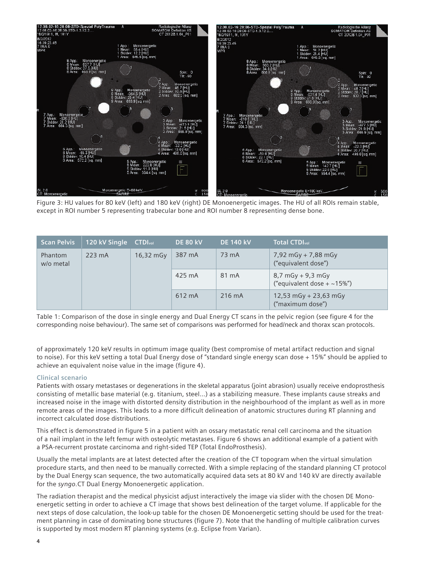

Figure 3: HU values for 80 keV (left) and 180 keV (right) DE Monoenergetic images. The HU of all ROIs remain stable, except in ROI number 5 representing trabecular bone and ROI number 8 representing dense bone.

| <b>Scan Pelvis</b>   | 120 kV Single    | <b>CTDI</b> <sub>vol</sub> | <b>DE 80 kV</b> | <b>DE 140 kV</b> | <b>Total CTDIvol</b>                                    |
|----------------------|------------------|----------------------------|-----------------|------------------|---------------------------------------------------------|
| Phantom<br>w/o metal | $223 \text{ mA}$ | 16,32 mGy                  | 387 mA          | 73 mA            | $7,92$ mGy + 7,88 mGy<br>("equivalent dose")            |
|                      |                  |                            | 425 mA          | 81 mA            | $8,7$ mGy + 9,3 mGy<br>("equivalent dose + $\sim$ 15%") |
|                      |                  |                            | 612 mA          | 216 mA           | 12,53 mGy + 23,63 mGy<br>("maximum dose")               |

Table 1: Comparison of the dose in single energy and Dual Energy CT scans in the pelvic region (see figure 4 for the corresponding noise behaviour). The same set of comparisons was performed for head/neck and thorax scan protocols.

of approximately 120 keV results in optimum image quality (best compromise of metal artifact reduction and signal to noise). For this keV setting a total Dual Energy dose of "standard single energy scan dose + 15%" should be applied to achieve an equivalent noise value in the image (figure 4).

#### **Clinical scenario**

Patients with ossary metastases or degenerations in the skeletal apparatus (joint abrasion) usually receive endoprosthesis consisting of metallic base material (e.g. titanium, steel…) as a stabilizing measure. These implants cause streaks and increased noise in the image with distorted density distribution in the neighbourhood of the implant as well as in more remote areas of the images. This leads to a more difficult delineation of anatomic structures during RT planning and incorrect calculated dose distributions.

This effect is demonstrated in figure 5 in a patient with an ossary metastatic renal cell carcinoma and the situation of a nail implant in the left femur with osteolytic metastases. Figure 6 shows an additional example of a patient with a PSA-recurrent prostate carcinoma and right-sided TEP (Total EndoProsthesis).

Usually the metal implants are at latest detected after the creation of the CT topogram when the virtual simulation procedure starts, and then need to be manually corrected. With a simple replacing of the standard planning CT protocol by the Dual Energy scan sequence, the two automatically acquired data sets at 80 kV and 140 kV are directly available for the *syngo.*CT Dual Energy Monoenergetic application.

The radiation therapist and the medical physicist adjust interactively the image via slider with the chosen DE Monoenergetic setting in order to achieve a CT image that shows best delineation of the target volume. If applicable for the next steps of dose calculation, the look-up table for the chosen DE Monoenergetic setting should be used for the treatment planning in case of dominating bone structures (figure 7). Note that the handling of multiple calibration curves is supported by most modern RT planning systems (e.g. Eclipse from Varian).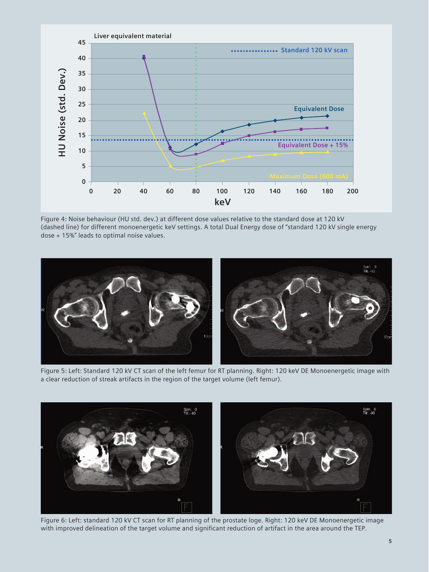

Figure 4: Noise behaviour (HU std. dev.) at different dose values relative to the standard dose at 120 kV (dashed line) for different monoenergetic keV settings. A total Dual Energy dose of "standard 120 kV single energy dose + 15%" leads to optimal noise values.



Figure 5: Left: Standard 120 kV CT scan of the left femur for RT planning. Right: 120 keV DE Monoenergetic image with a clear reduction of streak artifacts in the region of the target volume (left femur).



Figure 6: Left: standard 120 kV CT scan for RT planning of the prostate loge. Right: 120 keV DE Monoenergetic image with improved delineation of the target volume and significant reduction of artifact in the area around the TEP.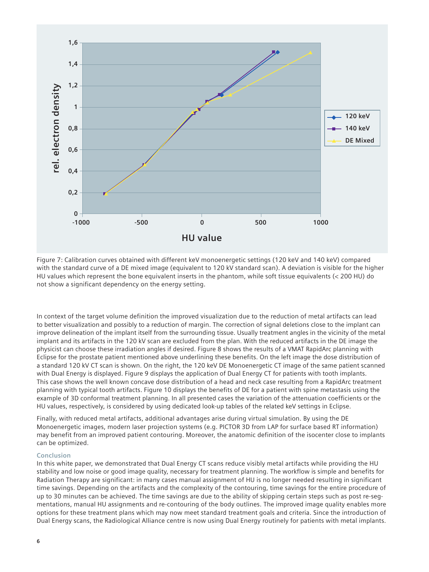

Figure 7: Calibration curves obtained with different keV monoenergetic settings (120 keV and 140 keV) compared with the standard curve of a DE mixed image (equivalent to 120 kV standard scan). A deviation is visible for the higher HU values which represent the bone equivalent inserts in the phantom, while soft tissue equivalents (< 200 HU) do not show a significant dependency on the energy setting.

In context of the target volume definition the improved visualization due to the reduction of metal artifacts can lead to better visualization and possibly to a reduction of margin. The correction of signal deletions close to the implant can improve delineation of the implant itself from the surrounding tissue. Usually treatment angles in the vicinity of the metal implant and its artifacts in the 120 kV scan are excluded from the plan. With the reduced artifacts in the DE image the physicist can choose these irradiation angles if desired. Figure 8 shows the results of a VMAT RapidArc planning with Eclipse for the prostate patient mentioned above underlining these benefits. On the left image the dose distribution of a standard 120 kV CT scan is shown. On the right, the 120 keV DE Monoenergetic CT image of the same patient scanned with Dual Energy is displayed. Figure 9 displays the application of Dual Energy CT for patients with tooth implants. This case shows the well known concave dose distribution of a head and neck case resulting from a RapidArc treatment planning with typical tooth artifacts. Figure 10 displays the benefits of DE for a patient with spine metastasis using the example of 3D conformal treatment planning. In all presented cases the variation of the attenuation coefficients or the HU values, respectively, is considered by using dedicated look-up tables of the related keV settings in Eclipse.

Finally, with reduced metal artifacts, additional advantages arise during virtual simulation. By using the DE Monoenergetic images, modern laser projection systems (e.g. PICTOR 3D from LAP for surface based RT information) may benefit from an improved patient contouring. Moreover, the anatomic definition of the isocenter close to implants can be optimized.

#### **Conclusion**

In this white paper, we demonstrated that Dual Energy CT scans reduce visibly metal artifacts while providing the HU stability and low noise or good image quality, necessary for treatment planning. The workflow is simple and benefits for Radiation Therapy are significant: in many cases manual assignment of HU is no longer needed resulting in significant time savings. Depending on the artifacts and the complexity of the contouring, time savings for the entire procedure of up to 30 minutes can be achieved. The time savings are due to the ability of skipping certain steps such as post re-segmentations, manual HU assignments and re-contouring of the body outlines. The improved image quality enables more options for these treatment plans which may now meet standard treatment goals and criteria. Since the introduction of Dual Energy scans, the Radiological Alliance centre is now using Dual Energy routinely for patients with metal implants.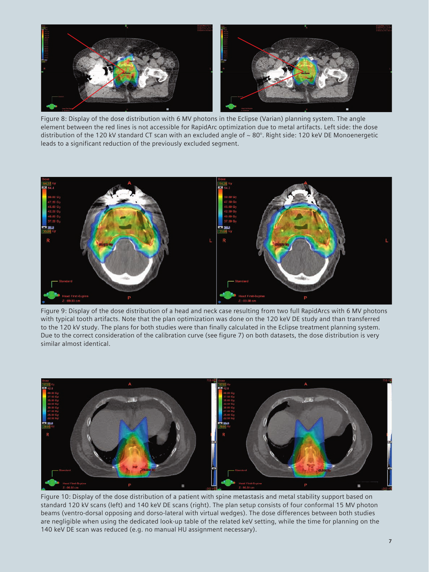

Figure 8: Display of the dose distribution with 6 MV photons in the Eclipse (Varian) planning system. The angle element between the red lines is not accessible for RapidArc optimization due to metal artifacts. Left side: the dose distribution of the 120 kV standard CT scan with an excluded angle of  $\sim 80^\circ$ . Right side: 120 keV DE Monoenergetic leads to a significant reduction of the previously excluded segment.



Figure 9: Display of the dose distribution of a head and neck case resulting from two full RapidArcs with 6 MV photons with typical tooth artifacts. Note that the plan optimization was done on the 120 keV DE study and than transferred to the 120 kV study. The plans for both studies were than finally calculated in the Eclipse treatment planning system. Due to the correct consideration of the calibration curve (see figure 7) on both datasets, the dose distribution is very similar almost identical.



Figure 10: Display of the dose distribution of a patient with spine metastasis and metal stability support based on standard 120 kV scans (left) and 140 keV DE scans (right). The plan setup consists of four conformal 15 MV photon beams (ventro-dorsal opposing and dorso-lateral with virtual wedges). The dose differences between both studies are negligible when using the dedicated look-up table of the related keV setting, while the time for planning on the 140 keV DE scan was reduced (e.g. no manual HU assignment necessary).